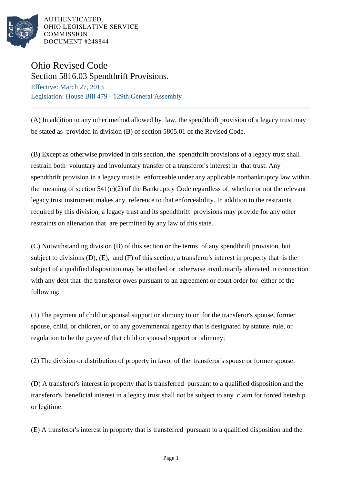

AUTHENTICATED, OHIO LEGISLATIVE SERVICE **COMMISSION** DOCUMENT #248844

## Ohio Revised Code

Section 5816.03 Spendthrift Provisions. Effective: March 27, 2013 Legislation: House Bill 479 - 129th General Assembly

(A) In addition to any other method allowed by law, the spendthrift provision of a legacy trust may be stated as provided in division (B) of section 5805.01 of the Revised Code.

(B) Except as otherwise provided in this section, the spendthrift provisions of a legacy trust shall restrain both voluntary and involuntary transfer of a transferor's interest in that trust. Any spendthrift provision in a legacy trust is enforceable under any applicable nonbankruptcy law within the meaning of section  $541(c)(2)$  of the Bankruptcy Code regardless of whether or not the relevant legacy trust instrument makes any reference to that enforceability. In addition to the restraints required by this division, a legacy trust and its spendthrift provisions may provide for any other restraints on alienation that are permitted by any law of this state.

(C) Notwithstanding division (B) of this section or the terms of any spendthrift provision, but subject to divisions (D), (E), and (F) of this section, a transferor's interest in property that is the subject of a qualified disposition may be attached or otherwise involuntarily alienated in connection with any debt that the transferor owes pursuant to an agreement or court order for either of the following:

(1) The payment of child or spousal support or alimony to or for the transferor's spouse, former spouse, child, or children, or to any governmental agency that is designated by statute, rule, or regulation to be the payee of that child or spousal support or alimony;

(2) The division or distribution of property in favor of the transferor's spouse or former spouse.

(D) A transferor's interest in property that is transferred pursuant to a qualified disposition and the transferor's beneficial interest in a legacy trust shall not be subject to any claim for forced heirship or legitime.

(E) A transferor's interest in property that is transferred pursuant to a qualified disposition and the